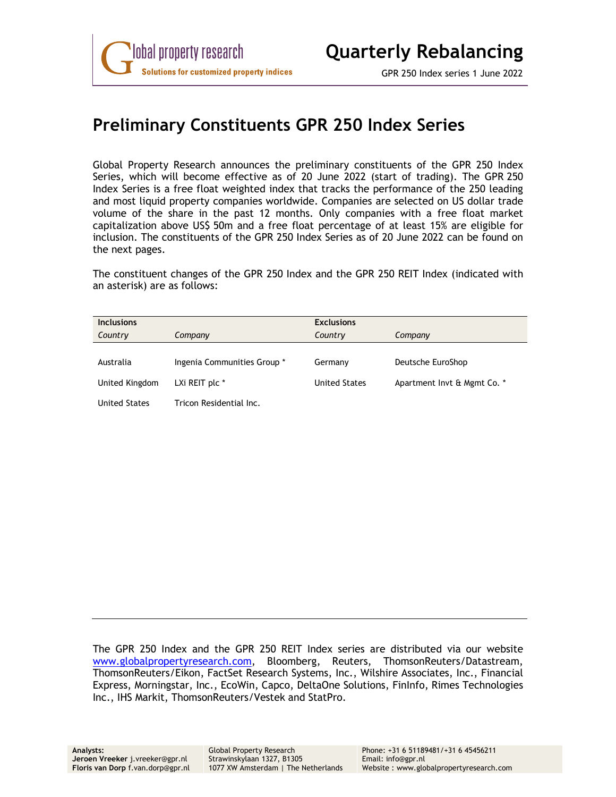### **Preliminary Constituents GPR 250 Index Series**

Global Property Research announces the preliminary constituents of the GPR 250 Index Series, which will become effective as of 20 June 2022 (start of trading). The GPR 250 Index Series is a free float weighted index that tracks the performance of the 250 leading and most liquid property companies worldwide. Companies are selected on US dollar trade volume of the share in the past 12 months. Only companies with a free float market capitalization above US\$ 50m and a free float percentage of at least 15% are eligible for inclusion. The constituents of the GPR 250 Index Series as of 20 June 2022 can be found on the next pages.

The constituent changes of the GPR 250 Index and the GPR 250 REIT Index (indicated with an asterisk) are as follows:

| <b>Inclusions</b>    |                             | <b>Exclusions</b>    |                             |
|----------------------|-----------------------------|----------------------|-----------------------------|
| Country              | Company                     | Country              | Company                     |
|                      |                             |                      |                             |
| Australia            | Ingenia Communities Group * | Germany              | Deutsche EuroShop           |
| United Kingdom       | LXi REIT plc *              | <b>United States</b> | Apartment Invt & Mgmt Co. * |
| <b>United States</b> | Tricon Residential Inc.     |                      |                             |

The GPR 250 Index and the GPR 250 REIT Index series are distributed via our website www.globalpropertyresearch.com, Bloomberg, Reuters, ThomsonReuters/Datastream, ThomsonReuters/Eikon, FactSet Research Systems, Inc., Wilshire Associates, Inc., Financial Express, Morningstar, Inc., EcoWin, Capco, DeltaOne Solutions, FinInfo, Rimes Technologies Inc., IHS Markit, ThomsonReuters/Vestek and StatPro.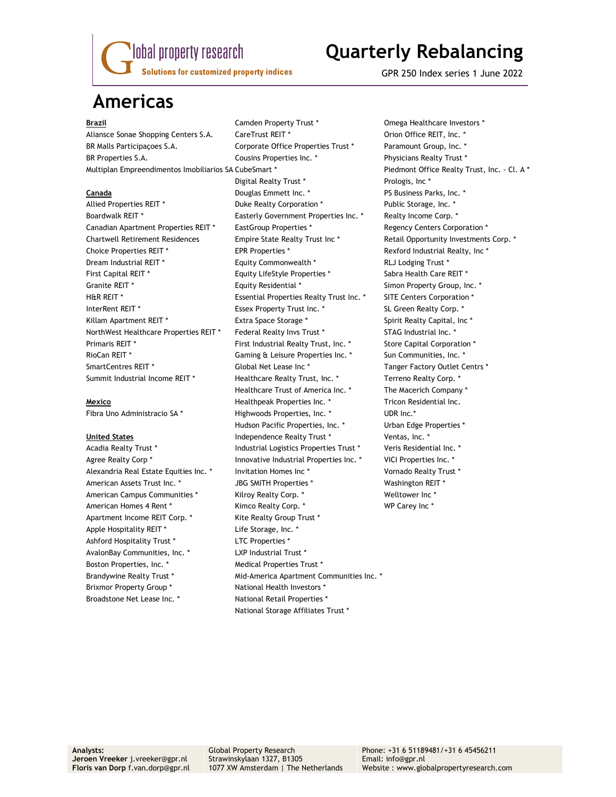

## **Quarterly Rebalancing**

GPR 250 Index series 1 June 2022

### **Americas**

Apartment Income REIT Corp. \* Kite Realty Group Trust \* Apple Hospitality REIT \* The Storage, Inc. \* Ashford Hospitality Trust \* The LTC Properties \* AvalonBay Communities, Inc. \* The Mullet LXP Industrial Trust \* Boston Properties, Inc. \* The Medical Properties Trust \* Brixmor Property Group \* National Health Investors \* Broadstone Net Lease Inc. \* National Retail Properties \*

**Brazil Camden Property Trust \*** Omega Healthcare Investors \* Aliansce Sonae Shopping Centers S.A. CareTrust REIT \* The Content of Coron Office REIT, Inc. \* BR Malls Participacoes S.A. Corporate Office Properties Trust \* Paramount Group, Inc. \* BR Properties S.A. Cousins Properties Inc. \* Physicians Realty Trust \* Multiplan Empreendimentos Imobiliarios SA CubeSmart \* Piedmont Office Realty Trust, Inc. - Cl. A \* Digital Realty Trust \* The Prologis, Inc \* **Canada** Douglas Emmett Inc. \* PS Business Parks, Inc. \* Allied Properties REIT \* The Suite Realty Corporation \* The Public Storage, Inc. \* Boardwalk REIT \* The Easterly Government Properties Inc. \* The Realty Income Corp. \* Canadian Apartment Properties REIT \* EastGroup Properties \* The Regency Centers Corporation \* Chartwell Retirement Residences Empire State Realty Trust Inc \* Retail Opportunity Investments Corp. \* Choice Properties REIT \* The SEPR Properties \* The Section of Rexford Industrial Realty, Inc \* Dream Industrial REIT \* Equity Commonwealth \* RLJ Lodging Trust \* First Capital REIT \* Equity LifeStyle Properties \* Sabra Health Care REIT \* Granite REIT \* The Summary Square REIT \* The State REIT \* Simon Property Group, Inc. \* H&R REIT \* THE RESSENTIAL Properties Realty Trust Inc. \* SITE Centers Corporation \* InterRent REIT \* The Supersection of Essex Property Trust Inc. \* The SL Green Realty Corp. \* Killam Apartment REIT \* The State Space Storage \* The Spirit Realty Capital, Inc \* NorthWest Healthcare Properties REIT \* Federal Realty Invs Trust \* STAG Industrial Inc. \* Primaris REIT \* First Industrial Realty Trust, Inc. \* Store Capital Corporation \* RioCan REIT \* The Superson of Gaming & Leisure Properties Inc. \* The Sun Communities, Inc. \* SmartCentres REIT \* Tanger Factory Outlet Centrs \* Global Net Lease Inc \* Tanger Factory Outlet Centrs \* Summit Industrial Income REIT \* Healthcare Realty Trust, Inc. \* Terreno Realty Corp. \* Healthcare Trust of America Inc. \* The Macerich Company \* **Mexico** Healthpeak Properties Inc. \* Tricon Residential Inc. Fibra Uno Administracio SA \* The Highwoods Properties, Inc. \* The Muller UDR Inc. Hudson Pacific Properties, Inc. \* The Urban Edge Properties \* United States **Independence Realty Trust \*** Ventas, Inc. \* Acadia Realty Trust \* The State of Industrial Logistics Properties Trust \* The Veris Residential Inc. \* Agree Realty Corp \* The State of Innovative Industrial Properties Inc. \* The VICI Properties Inc. \* Alexandria Real Estate Equities Inc. \* Invitation Homes Inc \* The Mornado Realty Trust \* American Assets Trust Inc. \* The SMITH Properties \* The Mashington REIT \* American Campus Communities \* The Kilroy Realty Corp. \* The Multower Inc \* American Homes 4 Rent \* The Kimco Realty Corp. \* The Manuson WP Carey Inc \* Brandywine Realty Trust \* The Mid-America Apartment Communities Inc. \* National Storage Affiliates Trust \*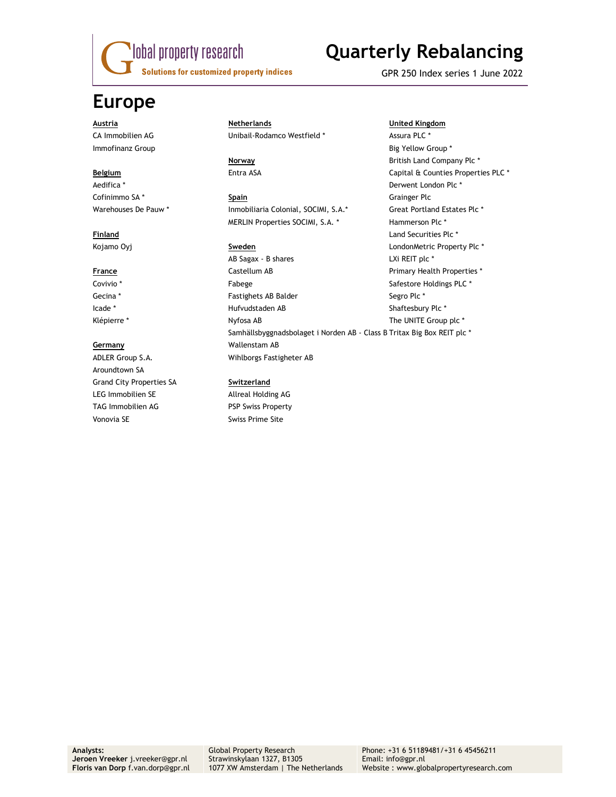

# **Quarterly Rebalancing**

GPR 250 Index series 1 June 2022

### **Europe**

ADLER Group S.A. Wihlborgs Fastigheter AB Aroundtown SA Grand City Properties SA **Switzerland**  LEG Immobilien SE Allreal Holding AG TAG Immobilien AG PSP Swiss Property Vonovia SE Swiss Prime Site

### **Austria Netherlands United Kingdom** CA Immobilien AG **CA Immobilien AG** Unibail-Rodamco Westfield \* Assura PLC \*

Cofinimmo SA<sup>\*</sup> **Spain Spain Grainger Plc** Warehouses De Pauw \* Inmobiliaria Colonial, SOCIMI, S.A.\* Great Portland Estates Plc \* MERLIN Properties SOCIMI, S.A. \* Hammerson Plc \*

AB Sagax - B shares LXi REIT plc \* **France Castellum AB Primary Health Properties \*** Covivio \* Tabege Safestore Holdings PLC \* Safestore Holdings PLC \* Safestore Holdings PLC \* Gecina \* The Segro Plc \* Fastighets AB Balder Segro Plc \* Segro Plc \* Icade \* Hufvudstaden AB Shaftesbury Plc \* Klépierre \* The UNITE Group plc \* Nyfosa AB The UNITE Group plc \* Samhällsbyggnadsbolaget i Norden AB - Class B Tritax Big Box REIT plc \* **Germany** Wallenstam AB

Immofinanz Group **Big Yellow Group \* Big Yellow Group \* Big Yellow Group \* Big Yellow Group \* Norway 1988 Norway 1988 British Land Company Plc \* Belgium Entra ASA** Entra ASA Capital & Counties Properties PLC \* Aedifica \* Derwent London Plc \* **Finland Land Securities Plc \* Contract Planet Securities Plc \* Land Securities Plc \*** Kojamo Oyj **Sweden Standard Communist Communist Standard Communist Communist Communist Communist Communist Communist Communist Communist Communist Communist Communist Communist Communist Communist Communist Communist Com**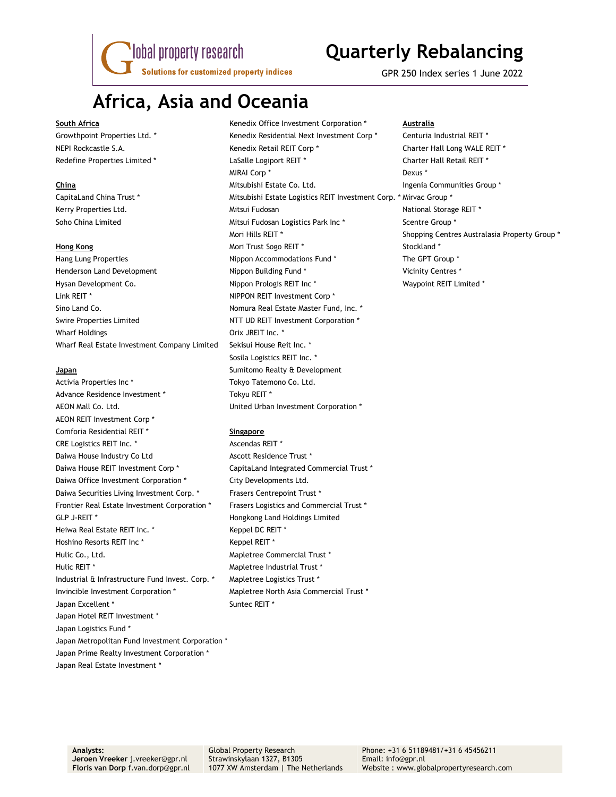lobal property research **Solutions for customized property indices** 

# **Quarterly Rebalancing**

GPR 250 Index series 1 June 2022

### **Africa, Asia and Oceania**

Henderson Land Development Nippon Building Fund \* Vicinity Centres \* Hysan Development Co. The Superson of the Nippon Prologis REIT Inc \* The Number of Waypoint REIT Limited \* Link REIT \* NIPPON REIT Investment Corp \* Sino Land Co. **Nomura Real Estate Master Fund, Inc. \*** Nomura Real Estate Master Fund, Inc. \* Swire Properties Limited NTT UD REIT Investment Corporation \* Wharf Holdings **Orix JREIT** Inc. \* Wharf Real Estate Investment Company Limited Sekisui House Reit Inc. \*

Activia Properties Inc \* Tokyo Tatemono Co. Ltd. Advance Residence Investment \* Tokyu REIT \* AEON Mall Co. Ltd. United Urban Investment Corporation \* AEON REIT Investment Corp \* Comforia Residential REIT \* **Singapore** CRE Logistics REIT Inc. \* Ascendas REIT \* Daiwa House Industry Co Ltd Ascott Residence Trust \* Daiwa House REIT Investment Corp \* CapitaLand Integrated Commercial Trust \* Daiwa Office Investment Corporation \* City Developments Ltd. Daiwa Securities Living Investment Corp. \* Frasers Centrepoint Trust \* Frontier Real Estate Investment Corporation \* Frasers Logistics and Commercial Trust \* GLP J-REIT \* The Matter of the Hongkong Land Holdings Limited Heiwa Real Estate REIT Inc. \* The Mercedes Repel DC REIT \* Hoshino Resorts REIT Inc \* Keppel REIT \* Hulic Co., Ltd. **Mapletree Commercial Trust** \* Hulic REIT \* The Mapletree Industrial Trust \* Industrial & Infrastructure Fund Invest. Corp. \* Mapletree Logistics Trust \* Invincible Investment Corporation \* Mapletree North Asia Commercial Trust \* Japan Excellent \* Suntec REIT \* Japan Hotel REIT Investment \* Japan Logistics Fund \* Japan Metropolitan Fund Investment Corporation \* Japan Prime Realty Investment Corporation \* Japan Real Estate Investment \*

**South Africa Kenedix Office Investment Corporation \* Australia Australia Australia** Growthpoint Properties Ltd. \* The Stenedix Residential Next Investment Corp \* The Centuria Industrial REIT \* NEPI Rockcastle S.A. The S.A. Kenedix Retail REIT Corp \* The Sharter Hall Long WALE REIT \* Redefine Properties Limited \* The State LaSalle Logiport REIT \* The State Charter Hall Retail REIT \* MIRAI Corp \* Dexus \* **China Mitsubishi Estate Co. Ltd.** Ingenia Communities Group \* and The Mitsubishi Estate Co. Ltd. CapitaLand China Trust \* Mitsubishi Estate Logistics REIT Investment Corp. \* Mirvac Group \* Kerry Properties Ltd. The Mitsui Fudosan National Storage REIT \* Soho China Limited **Mitsui Fudosan Logistics Park Inc \*** Scentre Group \* Mori Hills REIT \* Shopping Centres Australasia Property Group \* **Hong Kong Mori Trust Sogo REIT \*** Stockland \* Stockland \* Stockland \* Stockland \* Stockland \* Stockland \* Stockland \* Stockland \* Stockland \* Stockland \* Stockland \* Stockland \* Stockland \* Stockland \* Stockland \* Stock Hang Lung Properties The GPT Group \* Nippon Accommodations Fund \* The GPT Group \* Sosila Logistics REIT Inc. \* **Japan Sumitomo Realty & Development**